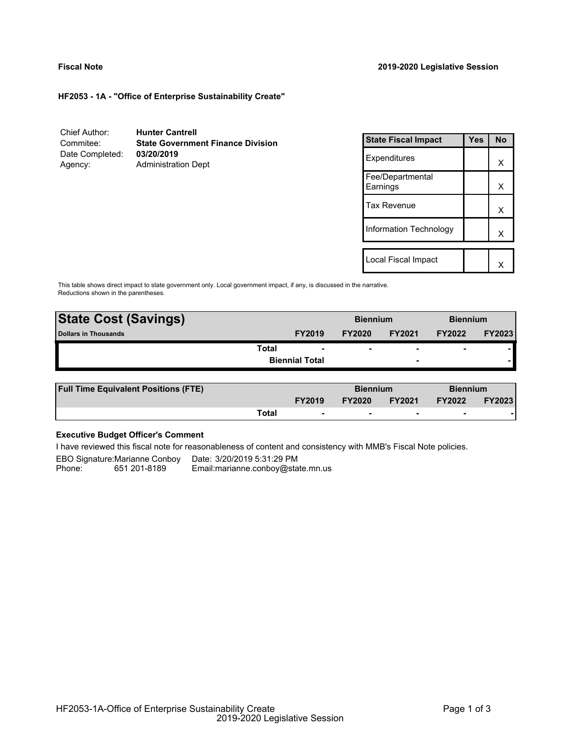#### **Fiscal Note 2019-2020 Legislative Session**

**HF2053 - 1A - "Office of Enterprise Sustainability Create"**

| Chief Author:   | <b>Hunter Cantrell</b>                   |
|-----------------|------------------------------------------|
| Commitee:       | <b>State Government Finance Division</b> |
| Date Completed: | 03/20/2019                               |
| Agency:         | <b>Administration Dept</b>               |

| <b>State Fiscal Impact</b>   | Yes | <b>No</b> |
|------------------------------|-----|-----------|
| Expenditures                 |     | x         |
| Fee/Departmental<br>Earnings |     | х         |
| Tax Revenue                  |     | x         |
| Information Technology       |     | x         |
|                              |     |           |
| Local Fiscal Impact          |     |           |

This table shows direct impact to state government only. Local government impact, if any, is discussed in the narrative. Reductions shown in the parentheses.

| <b>State Cost (Savings)</b> |                          | <b>Biennium</b> |                          | <b>Biennium</b>          |               |
|-----------------------------|--------------------------|-----------------|--------------------------|--------------------------|---------------|
| <b>Dollars in Thousands</b> | <b>FY2019</b>            | <b>FY2020</b>   | <b>FY2021</b>            | <b>FY2022</b>            | <b>FY2023</b> |
| Total                       | $\overline{\phantom{0}}$ | ۰               |                          | $\overline{\phantom{0}}$ |               |
|                             | <b>Biennial Total</b>    |                 | $\overline{\phantom{0}}$ |                          |               |
|                             |                          |                 |                          |                          |               |

| <b>Full Time Equivalent Positions (FTE)</b> |       |               |               | <b>Biennium</b> |               | <b>Biennium</b> |  |
|---------------------------------------------|-------|---------------|---------------|-----------------|---------------|-----------------|--|
|                                             |       | <b>FY2019</b> | <b>FY2020</b> | <b>FY2021</b>   | <b>FY2022</b> | <b>FY2023</b>   |  |
|                                             | Total | $\sim$        |               |                 |               |                 |  |

## **Executive Budget Officer's Comment**

I have reviewed this fiscal note for reasonableness of content and consistency with MMB's Fiscal Note policies.

EBO Signature:Marianne Conboy Date: 3/20/2019 5:31:29 PM<br>Phone: 651 201-8189 Email:marianne.conboy@sta Email: marianne.conboy@state.mn.us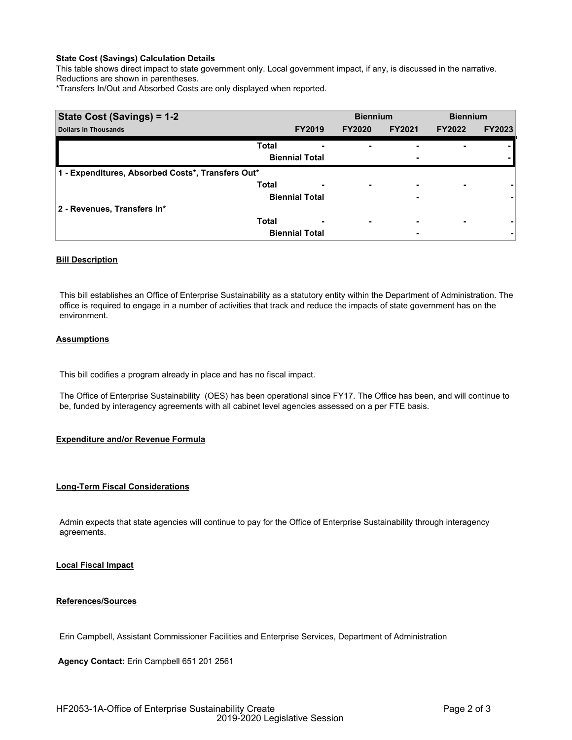## **State Cost (Savings) Calculation Details**

This table shows direct impact to state government only. Local government impact, if any, is discussed in the narrative. Reductions are shown in parentheses.

\*Transfers In/Out and Absorbed Costs are only displayed when reported.

| State Cost (Savings) = 1-2                        |              |                       | <b>Biennium</b> |                          | <b>Biennium</b> |               |
|---------------------------------------------------|--------------|-----------------------|-----------------|--------------------------|-----------------|---------------|
| <b>Dollars in Thousands</b>                       |              | <b>FY2019</b>         | <b>FY2020</b>   | <b>FY2021</b>            | <b>FY2022</b>   | <b>FY2023</b> |
|                                                   | <b>Total</b> |                       |                 |                          |                 |               |
|                                                   |              | <b>Biennial Total</b> |                 | -                        |                 |               |
| 1 - Expenditures, Absorbed Costs*, Transfers Out* |              |                       |                 |                          |                 |               |
|                                                   | <b>Total</b> | ٠                     | ۰               | $\overline{\phantom{0}}$ | ۰               |               |
|                                                   |              | <b>Biennial Total</b> |                 | ٠                        |                 |               |
| 2 - Revenues, Transfers In*                       |              |                       |                 |                          |                 |               |
|                                                   | <b>Total</b> | -                     | ۰               | ۰                        | ۰               |               |
|                                                   |              | <b>Biennial Total</b> |                 | ۰                        |                 | ۰             |

## **Bill Description**

This bill establishes an Office of Enterprise Sustainability as a statutory entity within the Department of Administration. The office is required to engage in a number of activities that track and reduce the impacts of state government has on the environment.

## **Assumptions**

This bill codifies a program already in place and has no fiscal impact.

The Office of Enterprise Sustainability (OES) has been operational since FY17. The Office has been, and will continue to be, funded by interagency agreements with all cabinet level agencies assessed on a per FTE basis.

#### **Expenditure and/or Revenue Formula**

#### **Long-Term Fiscal Considerations**

Admin expects that state agencies will continue to pay for the Office of Enterprise Sustainability through interagency agreements.

## **Local Fiscal Impact**

### **References/Sources**

Erin Campbell, Assistant Commissioner Facilities and Enterprise Services, Department of Administration

**Agency Contact:** Erin Campbell 651 201 2561